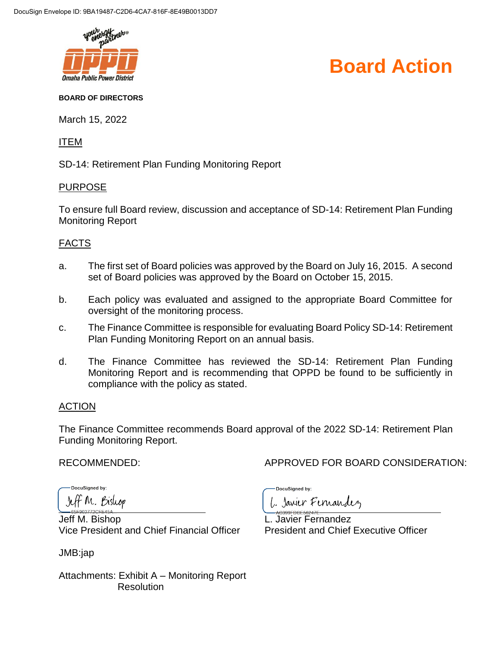

### **Board Action**

#### **BOARD OF DIRECTORS**

March 15, 2022

ITEM

SD-14: Retirement Plan Funding Monitoring Report

### PURPOSE

To ensure full Board review, discussion and acceptance of SD-14: Retirement Plan Funding Monitoring Report

### FACTS

- a. The first set of Board policies was approved by the Board on July 16, 2015. A second set of Board policies was approved by the Board on October 15, 2015.
- b. Each policy was evaluated and assigned to the appropriate Board Committee for oversight of the monitoring process.
- c. The Finance Committee is responsible for evaluating Board Policy SD-14: Retirement Plan Funding Monitoring Report on an annual basis.
- d. The Finance Committee has reviewed the SD-14: Retirement Plan Funding Monitoring Report and is recommending that OPPD be found to be sufficiently in compliance with the policy as stated.

### ACTION

The Finance Committee recommends Board approval of the 2022 SD-14: Retirement Plan Funding Monitoring Report.

RECOMMENDED: APPROVED FOR BOARD CONSIDERATION:

DocuSianed by: Jeff M. Bishop

Jeff M. Bishop L. Javier Fernandez Vice President and Chief Financial Officer President and Chief Executive Officer

JMB:jap

DocuSigned by:

L. Janier Fernandez

Attachments: Exhibit A – Monitoring Report Resolution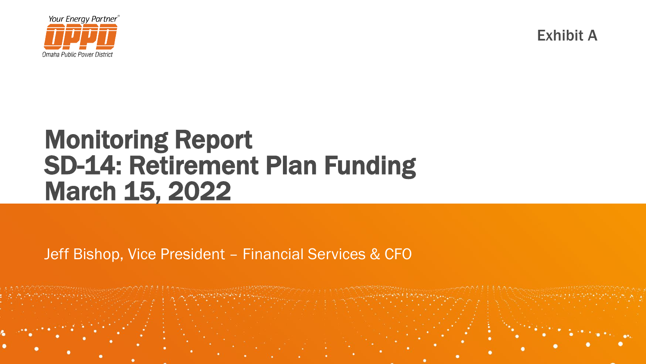

Exhibit A

## Monitoring Report SD-14: Retirement Plan Funding March 15, 2022

Jeff Bishop, Vice President – Financial Services & CFO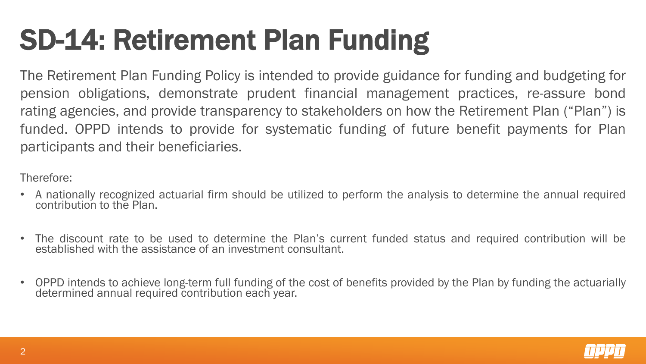# SD-14: Retirement Plan Funding

The Retirement Plan Funding Policy is intended to provide guidance for funding and budgeting for pension obligations, demonstrate prudent financial management practices, re-assure bond rating agencies, and provide transparency to stakeholders on how the Retirement Plan ("Plan") is funded. OPPD intends to provide for systematic funding of future benefit payments for Plan participants and their beneficiaries.

Therefore:

- A nationally recognized actuarial firm should be utilized to perform the analysis to determine the annual required contribution to the Plan.
- The discount rate to be used to determine the Plan's current funded status and required contribution will be established with the assistance of an investment consultant.
- OPPD intends to achieve long-term full funding of the cost of benefits provided by the Plan by funding the actuarially determined annual required contribution each year.

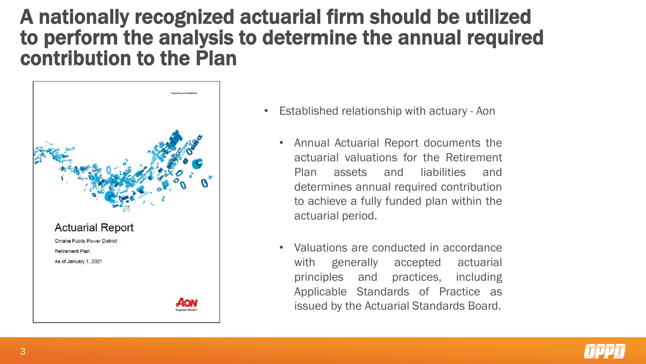### A nationally recognized actuarial firm should be utilized to perform the analysis to determine the annual required contribution to the Plan



- Established relationship with actuary Aon
	- Annual Actuarial Report documents the actuarial valuations for the Retirement Plan assets and liabilities and determines annual required contribution to achieve a fully funded plan within the actuarial period.
	- Valuations are conducted in accordance with generally accepted actuarial principles and practices, including Applicable Standards of Practice as issued by the Actuarial Standards Board.

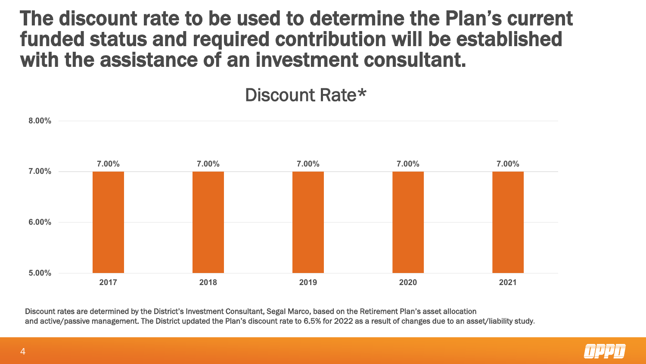The discount rate to be used to determine the Plan's current funded status and required contribution will be established with the assistance of an investment consultant.

Discount Rate\*



Discount rates are determined by the District's Investment Consultant, Segal Marco, based on the Retirement Plan's asset allocation and active/passive management. The District updated the Plan's discount rate to 6.5% for 2022 as a result of changes due to an asset/liability study.

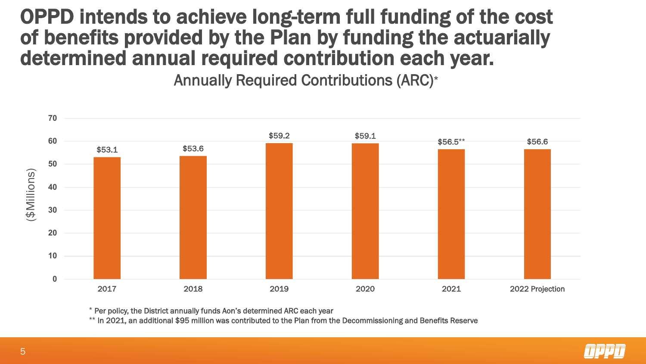## OPPD intends to achieve long-term full funding of the cost of benefits provided by the Plan by funding the actuarially determined annual required contribution each year.

Annually Required Contributions (ARC)\*



\* Per policy, the District annually funds Aon's determined ARC each year

\*\* In 2021, an additional \$95 million was contributed to the Plan from the Decommissioning and Benefits Reserve

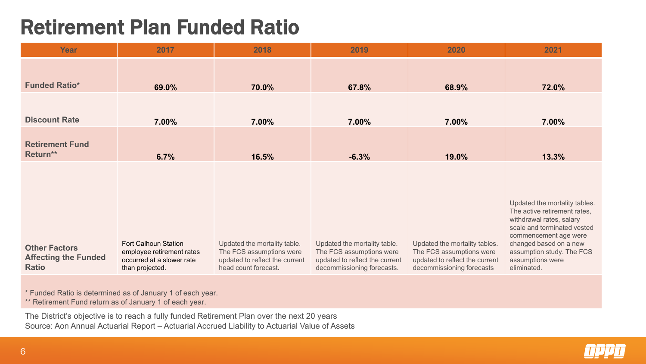## Retirement Plan Funded Ratio

| Year                                                                | 2017                                                                                                     | 2018                                                                                                               | 2019                                                                                                                     | 2020                                                                                                                     | 2021                                                                                                                                                                                                                                        |
|---------------------------------------------------------------------|----------------------------------------------------------------------------------------------------------|--------------------------------------------------------------------------------------------------------------------|--------------------------------------------------------------------------------------------------------------------------|--------------------------------------------------------------------------------------------------------------------------|---------------------------------------------------------------------------------------------------------------------------------------------------------------------------------------------------------------------------------------------|
| <b>Funded Ratio*</b>                                                | 69.0%                                                                                                    | 70.0%                                                                                                              | 67.8%                                                                                                                    | 68.9%                                                                                                                    | 72.0%                                                                                                                                                                                                                                       |
|                                                                     |                                                                                                          |                                                                                                                    |                                                                                                                          |                                                                                                                          |                                                                                                                                                                                                                                             |
| <b>Discount Rate</b>                                                | 7.00%                                                                                                    | 7.00%                                                                                                              | 7.00%                                                                                                                    | 7.00%                                                                                                                    | 7.00%                                                                                                                                                                                                                                       |
| <b>Retirement Fund</b><br>Return**                                  | 6.7%                                                                                                     | 16.5%                                                                                                              | $-6.3%$                                                                                                                  | 19.0%                                                                                                                    | 13.3%                                                                                                                                                                                                                                       |
| <b>Other Factors</b><br><b>Affecting the Funded</b><br><b>Ratio</b> | <b>Fort Calhoun Station</b><br>employee retirement rates<br>occurred at a slower rate<br>than projected. | Updated the mortality table.<br>The FCS assumptions were<br>updated to reflect the current<br>head count forecast. | Updated the mortality table.<br>The FCS assumptions were<br>updated to reflect the current<br>decommissioning forecasts. | Updated the mortality tables.<br>The FCS assumptions were<br>updated to reflect the current<br>decommissioning forecasts | Updated the mortality tables.<br>The active retirement rates,<br>withdrawal rates, salary<br>scale and terminated vested<br>commencement age were<br>changed based on a new<br>assumption study. The FCS<br>assumptions were<br>eliminated. |

\* Funded Ratio is determined as of January 1 of each year.

\*\* Retirement Fund return as of January 1 of each year.

The District's objective is to reach a fully funded Retirement Plan over the next 20 years Source: Aon Annual Actuarial Report – Actuarial Accrued Liability to Actuarial Value of Assets

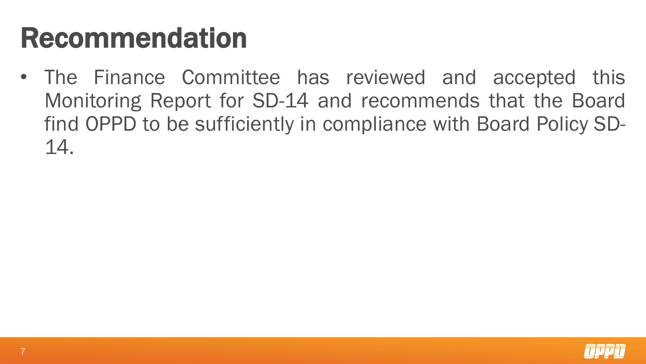## Recommendation

• The Finance Committee has reviewed and accepted this Monitoring Report for SD-14 and recommends that the Board find OPPD to be sufficiently in compliance with Board Policy SD-14.